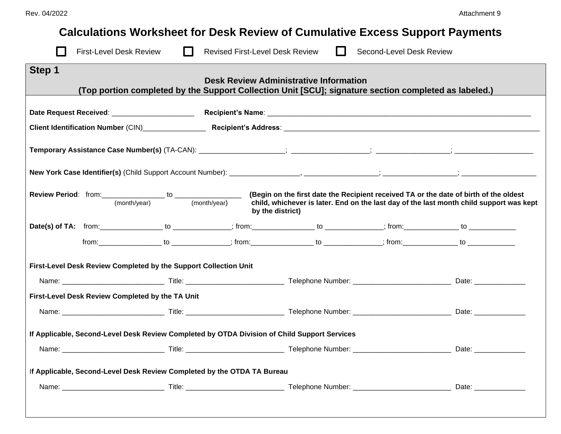## **Calculations Worksheet for Desk Review of Cumulative Excess Support Payments**

| <b>First-Level Desk Review</b>                                                                                                                                   |  | <b>Revised First-Level Desk Review</b> |  | Second-Level Desk Review |  |  |  |  |
|------------------------------------------------------------------------------------------------------------------------------------------------------------------|--|----------------------------------------|--|--------------------------|--|--|--|--|
| Step 1<br><b>Desk Review Administrative Information</b><br>(Top portion completed by the Support Collection Unit [SCU]; signature section completed as labeled.) |  |                                        |  |                          |  |  |  |  |
|                                                                                                                                                                  |  |                                        |  |                          |  |  |  |  |
|                                                                                                                                                                  |  |                                        |  |                          |  |  |  |  |
|                                                                                                                                                                  |  |                                        |  |                          |  |  |  |  |
|                                                                                                                                                                  |  |                                        |  |                          |  |  |  |  |
| child, whichever is later. End on the last day of the last month child support was kept<br>by the district)                                                      |  |                                        |  |                          |  |  |  |  |
| Date(s) of TA: from: _________________ to ______________; from: ________________ to ____________; from: ______________ to _________________ to                   |  |                                        |  |                          |  |  |  |  |
|                                                                                                                                                                  |  |                                        |  |                          |  |  |  |  |
| First-Level Desk Review Completed by the Support Collection Unit                                                                                                 |  |                                        |  |                          |  |  |  |  |
|                                                                                                                                                                  |  |                                        |  |                          |  |  |  |  |
| First-Level Desk Review Completed by the TA Unit                                                                                                                 |  |                                        |  |                          |  |  |  |  |
|                                                                                                                                                                  |  |                                        |  |                          |  |  |  |  |
| If Applicable, Second-Level Desk Review Completed by OTDA Division of Child Support Services                                                                     |  |                                        |  |                          |  |  |  |  |
|                                                                                                                                                                  |  |                                        |  |                          |  |  |  |  |
| If Applicable, Second-Level Desk Review Completed by the OTDA TA Bureau                                                                                          |  |                                        |  |                          |  |  |  |  |
|                                                                                                                                                                  |  |                                        |  |                          |  |  |  |  |
|                                                                                                                                                                  |  |                                        |  |                          |  |  |  |  |